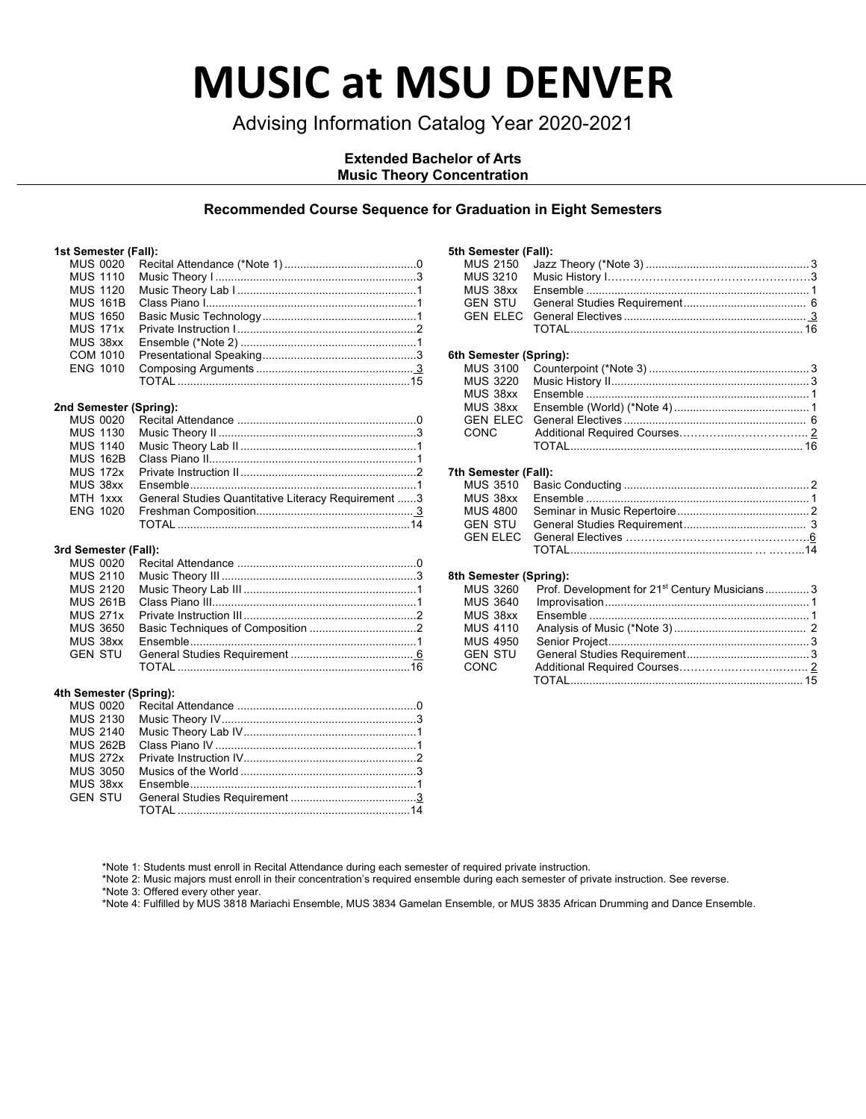# **MUSIC at MSU DENVER**

### Advising Information Catalog Year 2020-2021

### **Extended Bachelor of Arts Music Theory Concentration**

### **Recommended Course Sequence for Graduation in Eight Semesters**

### **1st Semester (Fall):**

| 1st Semester (Fall):   |                                                     |        |
|------------------------|-----------------------------------------------------|--------|
| <b>MUS 0020</b>        |                                                     |        |
| <b>MUS 1110</b>        |                                                     |        |
| MUS 1120               |                                                     |        |
| <b>MUS 161B</b>        |                                                     |        |
| <b>MUS 1650</b>        |                                                     |        |
| <b>MUS 171x</b>        |                                                     |        |
| MUS 38xx               |                                                     |        |
| COM 1010               |                                                     |        |
| <b>ENG 1010</b>        |                                                     |        |
|                        |                                                     |        |
| 2nd Semester (Spring): |                                                     |        |
| MUS 0020               |                                                     |        |
| <b>MUS 1130</b>        |                                                     |        |
| MUS 1140               |                                                     |        |
| <b>MUS 162B</b>        |                                                     |        |
| <b>MUS 172x</b>        |                                                     |        |
| MUS 38xx               |                                                     |        |
| MTH 1xxx               | General Studies Quantitative Literacy Requirement 3 |        |
| <b>ENG 1020</b>        |                                                     |        |
|                        |                                                     |        |
| 3rd Semester (Fall):   |                                                     |        |
|                        | $\overline{1}$                                      | $\sim$ |

| MUS 2120        |  |
|-----------------|--|
| <b>MUS 261B</b> |  |
| <b>MUS 271x</b> |  |
| <b>MUS 3650</b> |  |
| MUS 38xx        |  |
|                 |  |
|                 |  |
|                 |  |

### **4th Semester (Spring):**

| MUS 2130 |  |
|----------|--|
|          |  |
| MUS 262B |  |
|          |  |
| MUS 3050 |  |
| MUS 38xx |  |
| GEN STU  |  |
|          |  |
|          |  |

### **5th Semester (Fall):**

| <b>MUS 2150</b><br><b>MUS 3210</b> |                                                                    |
|------------------------------------|--------------------------------------------------------------------|
|                                    |                                                                    |
| MUS 38xx                           |                                                                    |
| GEN STU                            |                                                                    |
| <b>GEN ELEC</b>                    |                                                                    |
|                                    |                                                                    |
| 6th Semester (Spring):             |                                                                    |
| MUS 3100                           |                                                                    |
| <b>MUS 3220</b>                    |                                                                    |
| MUS 38xx                           |                                                                    |
| MUS 38xx                           |                                                                    |
|                                    |                                                                    |
| GEN ELEC                           |                                                                    |
| CONC                               |                                                                    |
|                                    |                                                                    |
| 7th Semester (Fall):               |                                                                    |
| MUS 3510                           |                                                                    |
| MUS 38xx                           |                                                                    |
| MUS 4800                           |                                                                    |
| GEN STU                            |                                                                    |
| <b>GEN ELEC</b>                    |                                                                    |
|                                    |                                                                    |
| 8th Semester (Spring):             |                                                                    |
|                                    | MUS 3260 Prof. Development for 21 <sup>st</sup> Century Musicians3 |
| MUS 3640                           |                                                                    |
|                                    |                                                                    |

| <b>MUS 4110</b> |  |
|-----------------|--|
| <b>MUS 4950</b> |  |
| GEN STU         |  |
| CONC.           |  |
|                 |  |

\*Note 1: Students must enroll in Recital Attendance during each semester of required private instruction.

\*Note 2: Music majors must enroll in their concentration's required ensemble during each semester of private instruction. See reverse.

\*Note 3: Offered every other year.

\*Note 4: Fulfilled by MUS 3818 Mariachi Ensemble, MUS 3834 Gamelan Ensemble, or MUS 3835 African Drumming and Dance Ensemble.